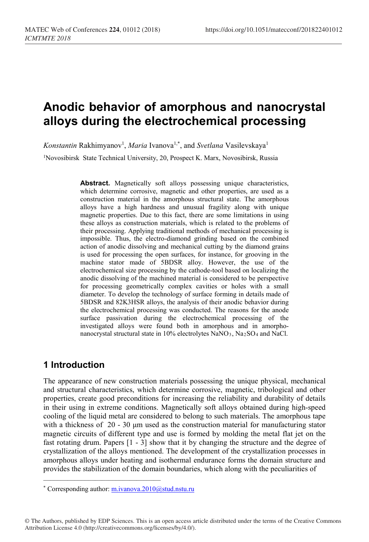# **Anodic behavior of amorphous and nanocrystal alloys during the electrochemical processing**

Konstantin Rakhimyanov<sup>1</sup>, *Maria* Ivanova<sup>1,\*</sup>, and *Svetlana* Vasilevskaya<sup>1</sup>

1Novosibirsk State Technical University, 20, Prospeсt K. Marх, Novosibirsk, Russia

**Abstract.** Magnetically soft alloys possessing unique characteristics, which determine corrosive, magnetic and other properties, are used as a construction material in the amorphous structural state. The amorphous alloys have a high hardness and unusual fragility along with unique magnetic properties. Due to this fact, there are some limitations in using these alloys as construction materials, which is related to the problems of their processing. Applying traditional methods of mechanical processing is impossible. Thus, the electro-diamond grinding based on the combined action of anodic dissolving and mechanical cutting by the diamond grains is used for processing the open surfaces, for instance, for grooving in the machine stator made of 5BDSR alloy. However, the use of the electrochemical size processing by the cathode-tool based on localizing the anodic dissolving of the machined material is considered to be perspective for processing geometrically complex cavities or holes with a small diameter. To develop the technology of surface forming in details made of 5BDSR and 82K3HSR alloys, the analysis of their anodic behavior during the electrochemical processing was conducted. The reasons for the anode surface passivation during the electrochemical processing of the investigated alloys were found both in amorphous and in amorphonanocrystal structural state in 10% electrolytes NaNO<sub>3</sub>, Na<sub>2</sub>SO<sub>4</sub> and NaCl.

## **1 Introduction**

The appearance of new construction materials possessing the unique physical, mechanical and structural characteristics, which determine corrosive, magnetic, tribological and other properties, create good preconditions for increasing the reliability and durability of details in their using in extreme conditions. Magnetically soft alloys obtained during high-speed cooling of the liquid metal are considered to belong to such materials. The amorphous tape with a thickness of  $20 - 30 \mu m$  used as the construction material for manufacturing stator magnetic circuits of different type and use is formed by molding the metal flat jet on the fast rotating drum. Papers [1 - 3] show that it by changing the structure and the degree of crystallization of the alloys mentioned. The development of the crystallization processes in amorphous alloys under heating and isothermal endurance forms the domain structure and provides the stabilization of the domain boundaries, which along with the peculiarities of

 $\mathcal{L}_\text{max}$  , where  $\mathcal{L}_\text{max}$  and  $\mathcal{L}_\text{max}$  and  $\mathcal{L}_\text{max}$ 

<sup>\*</sup> Corresponding author: m.ivanova.2010@stud.nstu.ru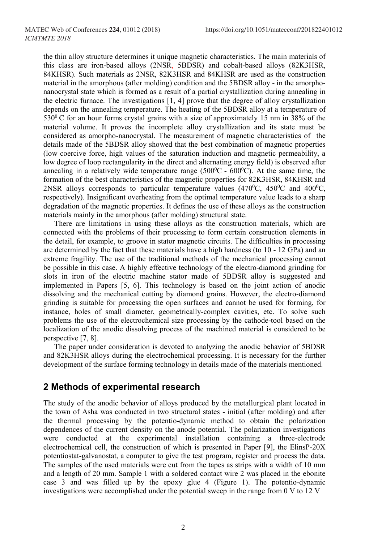the thin alloy structure determines it unique magnetic characteristics. The main materials of this class are iron-based alloys (2NSR, 5BDSR) and cobalt-based alloys (82K3HSR, 84KHSR). Such materials as 2NSR, 82K3HSR and 84KHSR are used as the construction material in the amorphous (after molding) condition and the 5BDSR alloy - in the amorphonanocrystal state which is formed as a result of a partial crystallization during annealing in the electric furnace. The investigations  $[1, 4]$  prove that the degree of alloy crystallization depends on the annealing temperature. The heating of the 5BDSR alloy at a temperature of  $530^{\circ}$  C for an hour forms crystal grains with a size of approximately 15 nm in 38% of the material volume. It proves the incomplete alloy crystallization and its state must be considered as amorpho-nanocrystal. The measurement of magnetic characteristics of the details made of the 5BDSR alloy showed that the best combination of magnetic properties (low coercive force, high values of the saturation induction and magnetic permeability, a low degree of loop rectangularity in the direct and alternating energy field) is observed after annealing in a relatively wide temperature range ( $500^{\circ}$ C -  $600^{\circ}$ C). At the same time, the formation of the best characteristics of the magnetic properties for 82K3HSR, 84KHSR and 2NSR alloys corresponds to particular temperature values  $(470^{\circ}C, 450^{\circ}C, 400^{\circ}C, 400^{\circ}C, 400^{\circ}C, 400^{\circ}C, 400^{\circ}C, 400^{\circ}C, 400^{\circ}C, 400^{\circ}C, 400^{\circ}C, 400^{\circ}C, 400^{\circ}C, 400^{\circ}C, 400^{\circ}C, 400^{\circ}C, 40$ respectively). Insignificant overheating from the optimal temperature value leads to a sharp degradation of the magnetic properties. It defines the use of these alloys as the construction materials mainly in the amorphous (after molding) structural state.

There are limitations in using these alloys as the construction materials, which are connected with the problems of their processing to form certain construction elements in the detail, for example, to groove in stator magnetic circuits. The difficulties in processing are determined by the fact that these materials have a high hardness (to 10 - 12 GPa) and an extreme fragility. The use of the traditional methods of the mechanical processing cannot be possible in this case. A highly effective technology of the electro-diamond grinding for slots in iron of the electric machine stator made of 5BDSR alloy is suggested and implemented in Papers [5, 6]. This technology is based on the joint action of anodic dissolving and the mechanical cutting by diamond grains. However, the electro-diamond grinding is suitable for processing the open surfaces and cannot be used for forming, for instance, holes of small diameter, geometrically-complex cavities, etc. To solve such problems the use of the electrochemical size processing by the cathode-tool based on the localization of the anodic dissolving process of the machined material is considered to be perspective [7, 8].

The paper under consideration is devoted to analyzing the anodic behavior of 5BDSR and 82K3HSR alloys during the electrochemical processing. It is necessary for the further development of the surface forming technology in details made of the materials mentioned.

## **2 Methods of experimental research**

The study of the anodic behavior of alloys produced by the metallurgical plant located in the town of Asha was conducted in two structural states - initial (after molding) and after the thermal processing by the potentio-dynamic method to obtain the polarization dependences of the current density on the anode potential. The polarization investigations were conducted at the experimental installation containing a three-electrode electrochemical cell, the construction of which is presented in Paper [9], the ElinsP-20X potentiostat-galvanostat, a computer to give the test program, register and process the data. The samples of the used materials were cut from the tapes as strips with a width of 10 mm and a length of 20 mm. Sample 1 with a soldered contact wire 2 was placed in the ebonite case 3 and was filled up by the epoxy glue 4 (Figure 1). The potentio-dynamic investigations were accomplished under the potential sweep in the range from 0 V to 12 V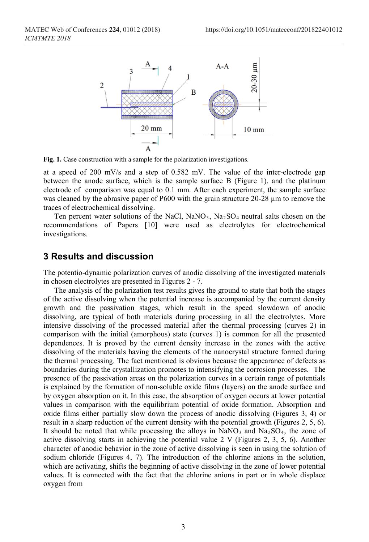

**Fig. 1.** Case construction with a sample for the polarization investigations.

at a speed of 200 mV/s and a step of 0.582 mV. The value of the inter-electrode gap between the anode surface, which is the sample surface B (Figure 1), and the platinum electrode of comparison was equal to 0.1 mm. After each experiment, the sample surface was cleaned by the abrasive paper of P600 with the grain structure 20-28 μm to remove the traces of electrochemical dissolving.

Ten percent water solutions of the NaCl,  $NaNO<sub>3</sub>$ ,  $Na<sub>2</sub>SO<sub>4</sub>$  neutral salts chosen on the recommendations of Papers [10] were used as electrolytes for electrochemical investigations.

#### **3 Results and discussion**

The potentio-dynamic polarization curves of anodic dissolving of the investigated materials in chosen electrolytes are presented in Figures 2 - 7.

The analysis of the polarization test results gives the ground to state that both the stages of the active dissolving when the potential increase is accompanied by the current density growth and the passivation stages, which result in the speed slowdown of anodic dissolving, are typical of both materials during processing in all the electrolytes. More intensive dissolving of the processed material after the thermal processing (curves 2) in comparison with the initial (amorphous) state (curves 1) is common for all the presented dependences. It is proved by the current density increase in the zones with the active dissolving of the materials having the elements of the nanocrystal structure formed during the thermal processing. The fact mentioned is obvious because the appearance of defects as boundaries during the crystallization promotes to intensifying the corrosion processes. The presence of the passivation areas on the polarization curves in a certain range of potentials is explained by the formation of non-soluble oxide films (layers) on the anode surface and by oxygen absorption on it. In this case, the absorption of oxygen occurs at lower potential values in comparison with the equilibrium potential of oxide formation. Absorption and oxide films either partially slow down the process of anodic dissolving (Figures 3, 4) or result in a sharp reduction of the current density with the potential growth (Figures 2, 5, 6). It should be noted that while processing the alloys in  $NaNO<sub>3</sub>$  and  $Na<sub>2</sub>SO<sub>4</sub>$ , the zone of active dissolving starts in achieving the potential value 2 V (Figures 2, 3, 5, 6). Another character of anodic behavior in the zone of active dissolving is seen in using the solution of sodium chloride (Figures 4, 7). The introduction of the chlorine anions in the solution, which are activating, shifts the beginning of active dissolving in the zone of lower potential values. It is connected with the fact that the chlorine anions in part or in whole displace oxygen from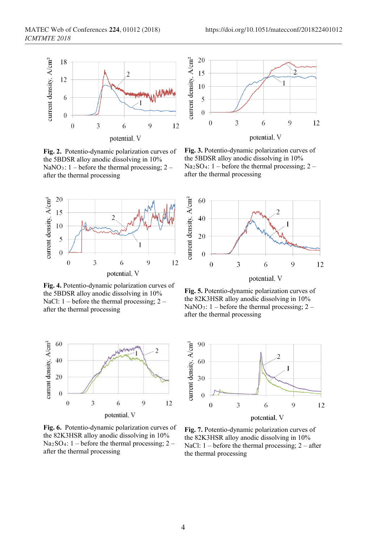

**Fig. 2.** Potentio-dynamic polarization curves of the 5BDSR alloy anodic dissolving in 10% NaNO<sub>3</sub>:  $1$  – before the thermal processing;  $2$  – after the thermal processing



**Fig. 4.** Potentio-dynamic polarization curves of the 5BDSR alloy anodic dissolving in 10% NaCl:  $1 - \text{before}$  the thermal processing;  $2 - \text{degree}$ after the thermal processing



**Fig. 6.** Potentio-dynamic polarization curves of the 82K3HSR alloy anodic dissolving in 10%  $Na<sub>2</sub>SO<sub>4</sub>: 1 - before the thermal processing; 2 –$ after the thermal processing



**Fig. 3.** Potentio-dynamic polarization curves of the 5BDSR alloy anodic dissolving in 10%  $Na<sub>2</sub>SO<sub>4</sub>: 1 - before the thermal processing; 2 –$ after the thermal processing



**Fig. 5.** Potentio-dynamic polarization curves of the 82K3HSR alloy anodic dissolving in 10% NaNO<sub>3</sub>:  $1$  – before the thermal processing;  $2$  – after the thermal processing



**Fig. 7.** Potentio-dynamic polarization curves of the 82K3HSR alloy anodic dissolving in 10% NaCl:  $1 - \text{before}$  the thermal processing;  $2 - \text{after}$ the thermal processing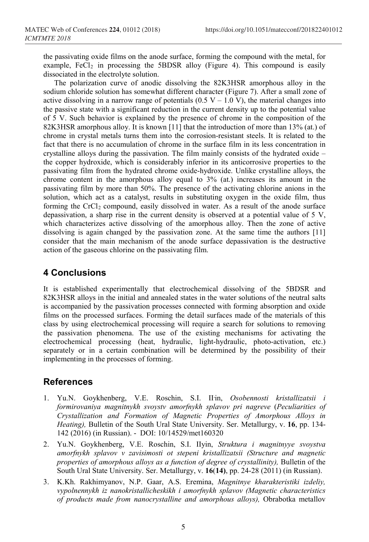the passivating oxide films on the anode surface, forming the compound with the metal, for example,  $FeCl<sub>2</sub>$  in processing the 5BDSR alloy (Figure 4). This compound is easily dissociated in the electrolyte solution.

The polarization curve of anodic dissolving the 82K3HSR amorphous alloy in the sodium chloride solution has somewhat different character (Figure 7). After a small zone of active dissolving in a narrow range of potentials  $(0.5 V - 1.0 V)$ , the material changes into the passive state with a significant reduction in the current density up to the potential value of 5 V. Such behavior is explained by the presence of chrome in the composition of the 82K3HSR amorphous alloy. It is known [11] that the introduction of more than 13% (at.) of chrome in crystal metals turns them into the corrosion-resistant steels. It is related to the fact that there is no accumulation of chrome in the surface film in its less concentration in crystalline alloys during the passivation. The film mainly consists of the hydrated oxide – the copper hydroxide, which is considerably inferior in its anticorrosive properties to the passivating film from the hydrated chrome oxide-hydroxide. Unlike crystalline alloys, the chrome content in the amorphous alloy equal to 3% (at.) increases its amount in the passivating film by more than 50%. The presence of the activating chlorine anions in the solution, which act as a catalyst, results in substituting oxygen in the oxide film, thus forming the  $CrCl<sub>2</sub>$  compound, easily dissolved in water. As a result of the anode surface depassivation, a sharp rise in the current density is observed at a potential value of 5 V, which characterizes active dissolving of the amorphous alloy. Then the zone of active dissolving is again changed by the passivation zone. At the same time the authors [11] consider that the main mechanism of the anode surface depassivation is the destructive action of the gaseous chlorine on the passivating film.

#### **4 Conclusions**

It is established experimentally that electrochemical dissolving of the 5BDSR and 82K3HSR alloys in the initial and annealed states in the water solutions of the neutral salts is accompanied by the passivation processes connected with forming absorption and oxide films on the processed surfaces. Forming the detail surfaces made of the materials of this class by using electrochemical processing will require a search for solutions to removing the passivation phenomena. The use of the existing mechanisms for activating the electrochemical processing (heat, hydraulic, light-hydraulic, photo-activation, etc.) separately or in a certain combination will be determined by the possibility of their implementing in the processes of forming.

## **References**

- 1. Yu.N. Goykhenberg, V.E. Roschin, S.I. II<sup>in, Osobennosti kristallizatsii i</sup> *formirovaniya magnitnykh svoystv amorfnykh splavov pri nagreve* (*Peculiarities of Crystallization and Formation of Magnetic Properties of Amorphous Alloys in Heating),* Bulletin of the South Ural State University. Ser. Metallurgy, v. **16**, pp. 134- 142 (2016) (in Russian). - DOI: 10/14529/met160320
- 2. Yu.N. Goykhenberg, V.E. Roschin, S.I. IIyin, *Struktura i magnitnyye svoystva amorfnykh splavov v zavisimosti ot stepeni kristallizatsii (Structure and magnetic properties of amorphous alloys as a function of degree of crystallinity),* Bulletin of the South Ural State University. Ser. Metallurgy, v. **16**(**14)**, pp. 24-28 (2011) (in Russian).
- 3. K.Kh. Rakhimyanov, N.P. Gaar, A.S. Eremina, *Magnitnye kharakteristiki izdeliy, vypolnennykh iz nanokristallicheskikh i amorfnykh splavov (Magnetic characteristics of products made from nanocrystalline and amorphous alloys),* Obrabotka metallov